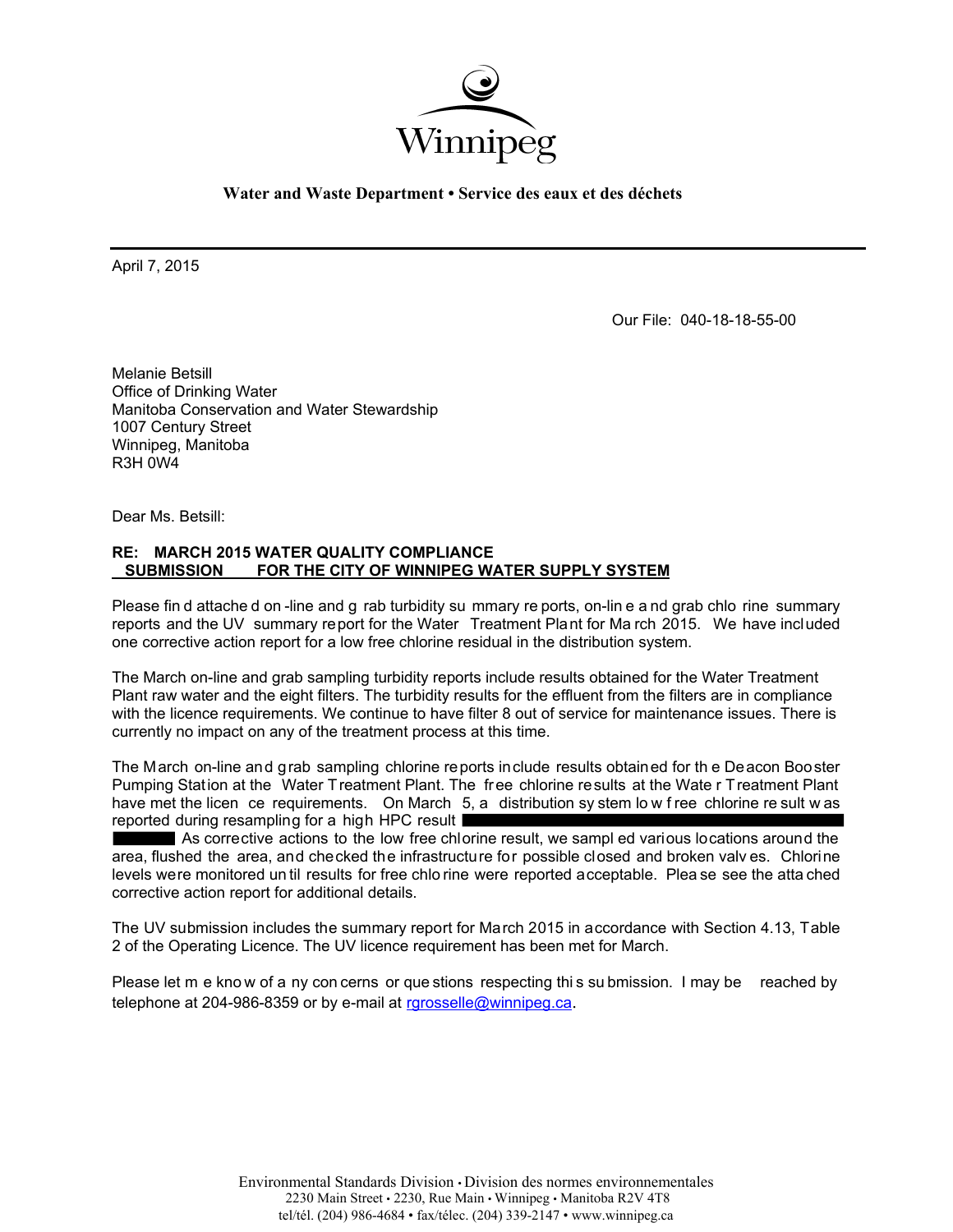

**Water and Waste Department • Service des eaux et des déchets** 

April 7, 2015

Our File: 040-18-18-55-00

Melanie Betsill Office of Drinking Water Manitoba Conservation and Water Stewardship 1007 Century Street Winnipeg, Manitoba R3H 0W4

Dear Ms. Betsill:

## **RE: MARCH 2015 WATER QUALITY COMPLIANCE SUBMISSION FOR THE CITY OF WINNIPEG WATER SUPPLY SYSTEM**

Please fin d attache d on -line and g rab turbidity su mmary re ports, on-lin e a nd grab chlo rine summary reports and the UV summary report for the Water Treatment Plant for Ma rch 2015. We have included one corrective action report for a low free chlorine residual in the distribution system.

The March on-line and grab sampling turbidity reports include results obtained for the Water Treatment Plant raw water and the eight filters. The turbidity results for the effluent from the filters are in compliance with the licence requirements. We continue to have filter 8 out of service for maintenance issues. There is currently no impact on any of the treatment process at this time.

The March on-line and grab sampling chlorine reports include results obtained for th e Deacon Booster Pumping Station at the Water Treatment Plant. The free chlorine results at the Wate r Treatment Plant have met the licen ce requirements. On March 5, a distribution sy stem low free chlorine re sult w as reported during resampling for a high HPC result

As corrective actions to the low free chlorine result, we sampl ed various locations around the area, flushed the area, and checked the infrastructure for possible closed and broken valv es. Chlorine levels were monitored un til results for free chlo rine were reported acceptable. Plea se see the atta ched corrective action report for additional details.

The UV submission includes the summary report for March 2015 in accordance with Section 4.13, Table 2 of the Operating Licence. The UV licence requirement has been met for March.

Please let m e know of a ny con cerns or que stions respecting this su bmission. I may be reached by telephone at 204-986-8359 or by e-mail at rgrosselle@winnipeg.ca.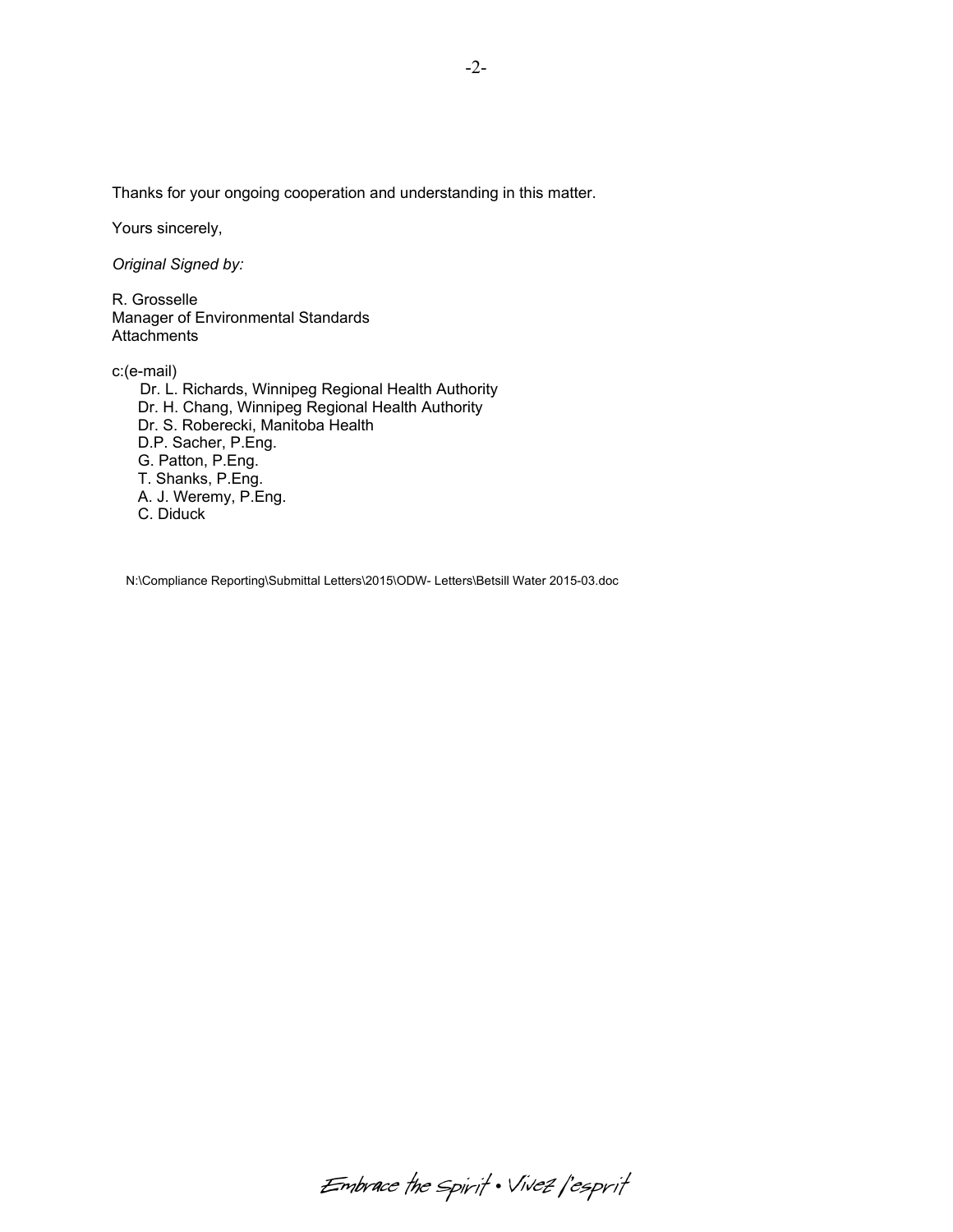Thanks for your ongoing cooperation and understanding in this matter.

Yours sincerely,

*Original Signed by:* 

R. Grosselle Manager of Environmental Standards **Attachments** 

c:(e-mail)

 Dr. L. Richards, Winnipeg Regional Health Authority Dr. H. Chang, Winnipeg Regional Health Authority Dr. S. Roberecki, Manitoba Health D.P. Sacher, P.Eng. G. Patton, P.Eng. T. Shanks, P.Eng. A. J. Weremy, P.Eng. C. Diduck

N:\Compliance Reporting\Submittal Letters\2015\ODW- Letters\Betsill Water 2015-03.doc

-2-

Embrace the spirit . Vivez l'esprit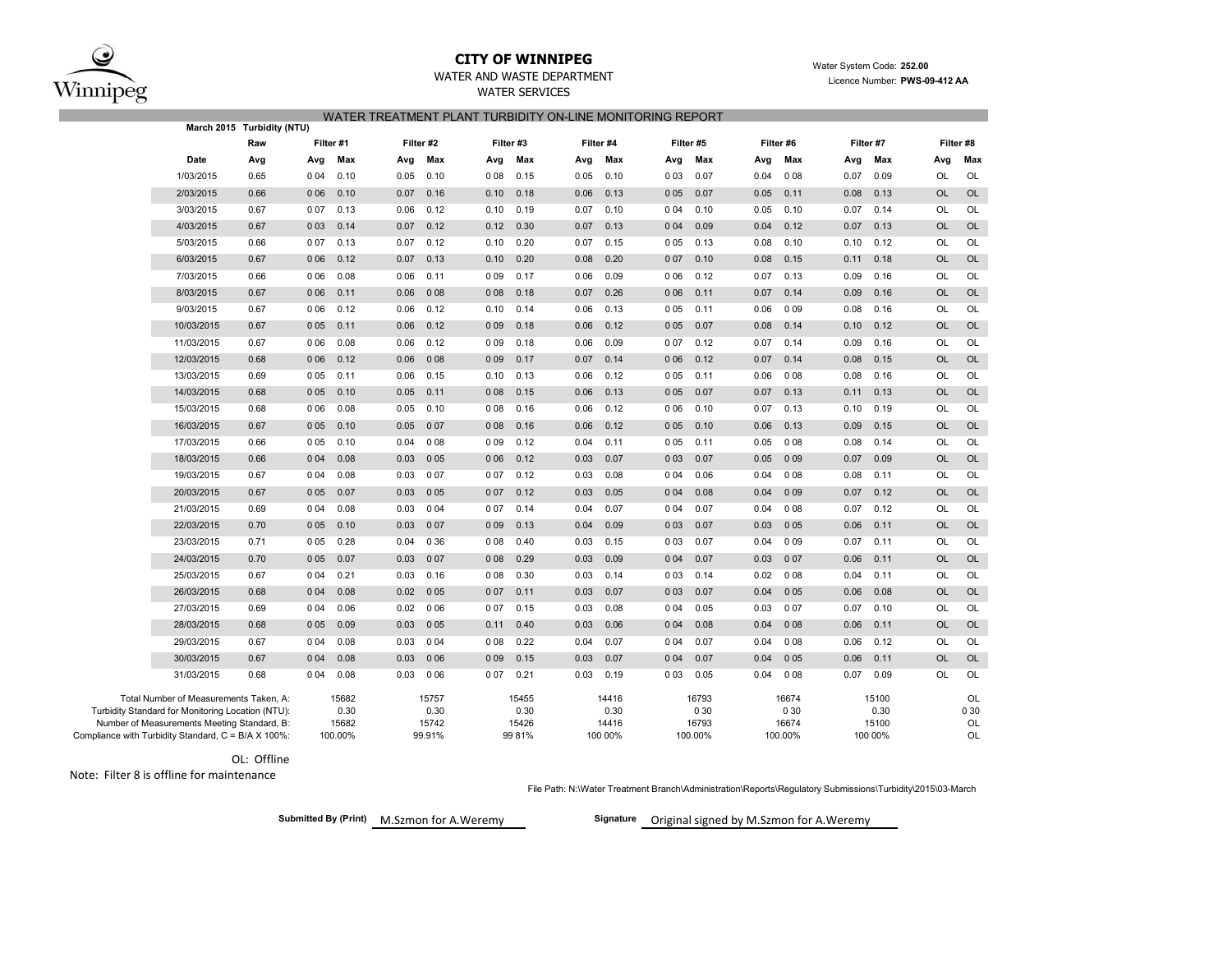Winnipeg

## **CITY OF WINNIPEG**WATER AND WASTE DEPARTMENT

 Water System Code: **252.00** Licence Number: **PWS-09-412 AA**

## WATER SERVICES WATER TREATMENT PLANT TURBIDITY ON-LINE MONITORING REPORT

|                                                                                             | March 2015 Turbidity (NTU) |       |               |      |               |       |               |      |               |       |               |      |               |      |               |           |            |
|---------------------------------------------------------------------------------------------|----------------------------|-------|---------------|------|---------------|-------|---------------|------|---------------|-------|---------------|------|---------------|------|---------------|-----------|------------|
| Raw                                                                                         |                            |       | Filter #1     |      | Filter #2     |       | Filter #3     |      | Filter #4     |       | Filter #5     |      | Filter #6     |      | Filter #7     |           | Filter #8  |
| Date                                                                                        | Avg                        | Avg   | Max           | Avg  | Max           | Avg   | Max           | Avg  | Max           | Avg   | Max           | Avg  | Max           | Avg  | Max           | Avg       | Max        |
| 1/03/2015                                                                                   | 0.65                       | 0 0 4 | 0.10          | 0.05 | 0.10          | 008   | 0.15          | 0.05 | 0.10          | 003   | 0.07          | 0.04 | 008           | 0.07 | 0.09          | OL        | OL         |
| 2/03/2015                                                                                   | 0.66                       | 006   | 0.10          | 0.07 | 0.16          | 0.10  | 0.18          | 0.06 | 0.13          | 005   | 0.07          | 0.05 | 0.11          | 0.08 | 0.13          | <b>OL</b> | OL         |
| 3/03/2015                                                                                   | 0.67                       | 007   | 0.13          | 0.06 | 0.12          | 0.10  | 0.19          | 0.07 | 0.10          | 0 0 4 | 0.10          | 0.05 | 0.10          | 0.07 | 0.14          | OL        | OL         |
| 4/03/2015                                                                                   | 0.67                       | 003   | 0.14          | 0.07 | 0.12          | 0.12  | 0.30          | 0.07 | 0.13          | 004   | 0.09          | 0.04 | 0.12          | 0.07 | 0.13          | <b>OL</b> | OL         |
| 5/03/2015                                                                                   | 0.66                       | 007   | 0.13          | 0.07 | 0.12          | 0.10  | 0.20          | 0.07 | 0.15          | 005   | 0.13          | 0.08 | 0.10          | 0.10 | 0.12          | <b>OL</b> | OL         |
| 6/03/2015                                                                                   | 0.67                       | 006   | 0.12          | 0.07 | 0.13          | 0.10  | 0.20          | 0.08 | 0.20          | 007   | 0.10          | 0.08 | 0.15          | 0.11 | 0.18          | <b>OL</b> | OL         |
| 7/03/2015                                                                                   | 0.66                       | 006   | 0.08          | 0.06 | 0.11          | 009   | 0.17          | 0.06 | 0.09          | 006   | 0.12          | 0.07 | 0.13          | 0.09 | 0.16          | OL        | OL         |
| 8/03/2015                                                                                   | 0.67                       | 006   | 0.11          | 0.06 | 008           | 008   | 0.18          | 0.07 | 0.26          | 006   | 0.11          | 0.07 | 0.14          | 0.09 | 0.16          | <b>OL</b> | OL         |
| 9/03/2015                                                                                   | 0.67                       | 006   | 0.12          | 0.06 | 0.12          | 0.10  | 0.14          | 0.06 | 0.13          | 005   | 0.11          | 0.06 | 009           | 0.08 | 0.16          | <b>OL</b> | OL         |
| 10/03/2015                                                                                  | 0.67                       | 0 0 5 | 0.11          | 0.06 | 0.12          | 009   | 0.18          | 0.06 | 0.12          | 005   | 0.07          | 0.08 | 0.14          | 0.10 | 0.12          | OL        | OL         |
| 11/03/2015                                                                                  | 0.67                       | 0 0 6 | 0.08          | 0.06 | 0.12          | 009   | 0.18          | 0.06 | 0.09          | 007   | 0.12          | 0.07 | 0.14          | 0.09 | 0.16          | <b>OL</b> | OL         |
| 12/03/2015                                                                                  | 0.68                       | 006   | 0.12          | 0.06 | 008           | 009   | 0.17          | 0.07 | 0.14          | 006   | 0.12          | 0.07 | 0.14          | 0.08 | 0.15          | <b>OL</b> | OL         |
| 13/03/2015                                                                                  | 0.69                       | 005   | 0.11          | 0.06 | 0.15          | 0.10  | 0.13          | 0.06 | 0.12          | 005   | 0.11          | 0.06 | 008           | 0.08 | 0.16          | <b>OL</b> | OL         |
| 14/03/2015                                                                                  | 0.68                       | 005   | 0.10          | 0.05 | 0.11          | 008   | 0.15          | 0.06 | 0.13          | 005   | 0.07          | 0.07 | 0.13          | 0.11 | 0.13          | <b>OL</b> | OL         |
| 15/03/2015                                                                                  | 0.68                       | 006   | 0.08          | 0.05 | 0.10          | 008   | 0.16          | 0.06 | 0.12          | 0 0 6 | 0.10          | 0.07 | 0.13          | 0.10 | 0.19          | OL        | OL         |
| 16/03/2015                                                                                  | 0.67                       | 0 0 5 | 0.10          | 0.05 | 007           | 008   | 0.16          | 0.06 | 0.12          | 005   | 0.10          | 0.06 | 0.13          | 0.09 | 0.15          | OL        | <b>OL</b>  |
| 17/03/2015                                                                                  | 0.66                       | 0 0 5 | 0.10          | 0.04 | 008           | 009   | 0.12          | 0.04 | 0.11          | 005   | 0.11          | 0.05 | 008           | 0.08 | 0.14          | OL        | OL         |
| 18/03/2015                                                                                  | 0.66                       | 004   | 0.08          | 0.03 | 0 0 5         | 006   | 0.12          | 0.03 | 0.07          | 003   | 0.07          | 0.05 | 009           | 0.07 | 0.09          | <b>OL</b> | OL         |
| 19/03/2015                                                                                  | 0.67                       | 004   | 0.08          | 0.03 | 007           | 007   | 0.12          | 0.03 | 0.08          | 004   | 0.06          | 0.04 | 008           | 0.08 | 0.11          | <b>OL</b> | OL         |
| 20/03/2015                                                                                  | 0.67                       | 0 0 5 | 0.07          | 0.03 | 0 0 5         | 007   | 0.12          | 0.03 | 0.05          | 004   | 0.08          | 0.04 | 009           | 0.07 | 0.12          | <b>OL</b> | <b>OL</b>  |
| 21/03/2015                                                                                  | 0.69                       | 004   | 0.08          | 0.03 | 0 0 4         | 0 0 7 | 0.14          | 0.04 | 0.07          | 004   | 0.07          | 0.04 | 008           | 0.07 | 0.12          | <b>OL</b> | OL         |
| 22/03/2015                                                                                  | 0.70                       | 0 0 5 | 0.10          | 0.03 | 0 0 7         | 009   | 0.13          | 0.04 | 0.09          | 003   | 0.07          | 0.03 | 0 0 5         | 0.06 | 0.11          | <b>OL</b> | <b>OL</b>  |
| 23/03/2015                                                                                  | 0.71                       | 005   | 0.28          | 0.04 | 0 36          | 008   | 0.40          | 0.03 | 0.15          | 003   | 0.07          | 0.04 | 009           | 0.07 | 0.11          | <b>OL</b> | OL         |
| 24/03/2015                                                                                  | 0.70                       | 0 0 5 | 0.07          | 0.03 | 007           | 008   | 0.29          | 0.03 | 0.09          | 004   | 0.07          | 0.03 | 0 0 7         | 0.06 | 0.11          | <b>OL</b> | <b>OL</b>  |
| 25/03/2015                                                                                  | 0.67                       | 0 0 4 | 0.21          | 0.03 | 0.16          | 008   | 0.30          | 0.03 | 0.14          | 003   | 0.14          | 0.02 | 008           | 0.04 | 0.11          | OL        | OL         |
| 26/03/2015                                                                                  | 0.68                       | 004   | 0.08          | 0.02 | 0 0 5         | 0 0 7 | 0.11          | 0.03 | 0.07          | 003   | 0.07          | 0.04 | 0 0 5         | 0.06 | 0.08          | <b>OL</b> | <b>OL</b>  |
| 27/03/2015                                                                                  | 0.69                       | 004   | 0.06          | 0.02 | 0 0 6         | 0 0 7 | 0.15          | 0.03 | 0.08          | 0 0 4 | 0.05          | 0.03 | 007           | 0.07 | 0.10          | <b>OL</b> | OL         |
| 28/03/2015                                                                                  | 0.68                       | 005   | 0.09          | 0.03 | 0 0 5         | 0.11  | 0.40          | 0.03 | 0.06          | 004   | 0.08          | 0.04 | 008           | 0.06 | 0.11          | <b>OL</b> | <b>OL</b>  |
| 29/03/2015                                                                                  | 0.67                       | 004   | 0.08          | 0.03 | 0 0 4         | 008   | 0.22          | 0.04 | 0.07          | 004   | 0.07          | 0.04 | 008           | 0.06 | 0.12          | <b>OL</b> | OL         |
| 30/03/2015                                                                                  | 0.67                       | 004   | 0.08          | 0.03 | 006           | 009   | 0.15          | 0.03 | 0.07          | 004   | 0.07          | 0.04 | 0 0 5         | 0.06 | 0.11          | <b>OL</b> | <b>OL</b>  |
| 31/03/2015                                                                                  | 0.68                       | 004   | 0.08          | 0.03 | 006           | 007   | 0.21          | 0.03 | 0.19          | 003   | 0.05          | 0.04 | 008           | 0.07 | 0.09          | OL        | OL         |
| Total Number of Measurements Taken, A:<br>Turbidity Standard for Monitoring Location (NTU): |                            |       | 15682<br>0.30 |      | 15757<br>0.30 |       | 15455<br>0.30 |      | 14416<br>0.30 |       | 16793<br>0 30 |      | 16674<br>0 30 |      | 15100<br>0.30 |           | OL<br>0 30 |
| Number of Measurements Meeting Standard, B:                                                 |                            |       | 15682         |      | 15742         |       | 15426         |      | 14416         |       | 16793         |      | 16674         |      | 15100         |           | OL         |
| npliance with Turbidity Standard, C = B/A X 100%:                                           |                            |       | 100.00%       |      | 99.91%        |       | 99 81%        |      | 100 00%       |       | 100.00%       |      | 100.00%       |      | 100 00%       |           | OL         |

OL: Offline

Note: Filter 8 is offline for maintenance

Compliance with

File Path: N:\Water Treatment Branch\Administration\Reports\Regulatory Submissions\Turbidity\2015\03-March

M.Szmon**Submitted By (Print) Signature**

Signature Original signed by M.Szmon for A.Weremy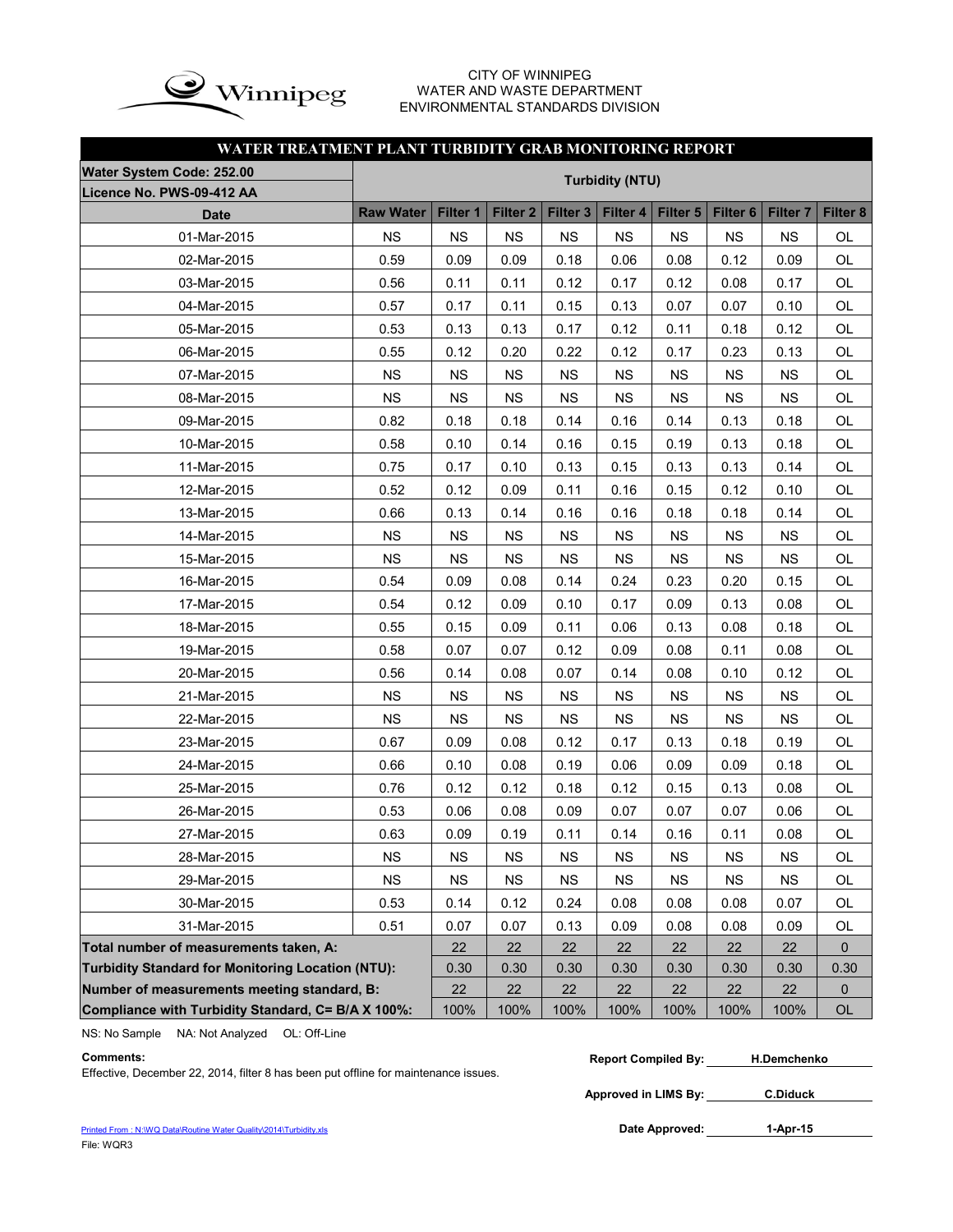

#### CITY OF WINNIPEG WATER AND WASTE DEPARTMENT ENVIRONMENTAL STANDARDS DIVISION

## **WATER TREATMENT PLANT TURBIDITY GRAB MONITORING REPORT**

| Water System Code: 252.00                          | <b>Turbidity (NTU)</b> |             |                     |                     |             |           |                     |                     |           |  |  |  |  |
|----------------------------------------------------|------------------------|-------------|---------------------|---------------------|-------------|-----------|---------------------|---------------------|-----------|--|--|--|--|
| Licence No. PWS-09-412 AA                          |                        |             |                     |                     |             |           |                     |                     |           |  |  |  |  |
| <b>Date</b>                                        | <b>Raw Water</b>       | Filter 1    | Filter <sub>2</sub> | Filter <sub>3</sub> | Filter 4    | Filter 5  | Filter <sub>6</sub> | Filter <sub>7</sub> | Filter 8  |  |  |  |  |
| 01-Mar-2015                                        | <b>NS</b>              | <b>NS</b>   | <b>NS</b>           | <b>NS</b>           | <b>NS</b>   | <b>NS</b> | <b>NS</b>           | <b>NS</b>           | OL        |  |  |  |  |
| 02-Mar-2015                                        | 0.59                   | 0.09        | 0.09                | 0.18                | 0.06        | 0.08      | 0.12                | 0.09                | <b>OL</b> |  |  |  |  |
| 03-Mar-2015                                        | 0.56                   | 0.11        | 0.11                | 0.12                | 0.17        | 0.12      | 0.08                | 0.17                | OL        |  |  |  |  |
| 04-Mar-2015                                        | 0.57                   | 0.17        | 0.11                | 0.15                | 0.13        | 0.07      | 0.07                | 0.10                | OL        |  |  |  |  |
| 05-Mar-2015                                        | 0.53                   | 0.13        | 0.13                | 0.17                | 0.12        | 0.11      | 0.18                | 0.12                | OL        |  |  |  |  |
| 06-Mar-2015                                        | 0.55                   | 0.12        | 0.20                | 0.22                | 0.12        | 0.17      | 0.23                | 0.13                | <b>OL</b> |  |  |  |  |
| 07-Mar-2015                                        | NS                     | <b>NS</b>   | <b>NS</b>           | <b>NS</b>           | <b>NS</b>   | <b>NS</b> | <b>NS</b>           | <b>NS</b>           | OL        |  |  |  |  |
| 08-Mar-2015                                        | <b>NS</b>              | <b>NS</b>   | <b>NS</b>           | <b>NS</b>           | <b>NS</b>   | <b>NS</b> | <b>NS</b>           | <b>NS</b>           | OL        |  |  |  |  |
| 09-Mar-2015                                        | 0.82                   | 0.18        | 0.18                | 0.14                | 0.16        | 0.14      | 0.13                | 0.18                | OL        |  |  |  |  |
| 10-Mar-2015                                        | 0.58                   | 0.10        | 0.14                | 0.16                | 0.15        | 0.19      | 0.13                | 0.18                | OL        |  |  |  |  |
| 11-Mar-2015                                        | 0.75                   | 0.17        | 0.10                | 0.13                | 0.15        | 0.13      | 0.13                | 0.14                | OL        |  |  |  |  |
| 12-Mar-2015                                        | 0.52                   | 0.12        | 0.09                | 0.11                | 0.16        | 0.15      | 0.12                | 0.10                | OL        |  |  |  |  |
| 13-Mar-2015                                        | 0.66                   | 0.13        | 0.14                | 0.16                | 0.16        | 0.18      | 0.18                | 0.14                | OL        |  |  |  |  |
| 14-Mar-2015                                        | <b>NS</b>              | <b>NS</b>   | <b>NS</b>           | <b>NS</b>           | <b>NS</b>   | <b>NS</b> | <b>NS</b>           | <b>NS</b>           | OL        |  |  |  |  |
| 15-Mar-2015                                        | <b>NS</b>              | <b>NS</b>   | <b>NS</b>           | <b>NS</b>           | <b>NS</b>   | <b>NS</b> | <b>NS</b>           | <b>NS</b>           | OL        |  |  |  |  |
| 16-Mar-2015                                        | 0.54                   | 0.09        | 0.08                | 0.14                | 0.24        | 0.23      | 0.20                | 0.15                | OL        |  |  |  |  |
| 17-Mar-2015                                        | 0.54                   | 0.12        | 0.09                | 0.10                | 0.17        | 0.09      | 0.13                | 0.08                | OL        |  |  |  |  |
| 18-Mar-2015                                        | 0.55                   | 0.15        | 0.09                | 0.11                | 0.06        | 0.13      | 0.08                | 0.18                | OL        |  |  |  |  |
| 19-Mar-2015                                        | 0.58                   | 0.07        | 0.07                | 0.12                | 0.09        | 0.08      | 0.11                | 0.08                | OL        |  |  |  |  |
| 20-Mar-2015                                        | 0.56                   | 0.14        | 0.08                | 0.07                | 0.14        | 0.08      | 0.10                | 0.12                | OL        |  |  |  |  |
| 21-Mar-2015                                        | <b>NS</b>              | <b>NS</b>   | <b>NS</b>           | <b>NS</b>           | <b>NS</b>   | <b>NS</b> | <b>NS</b>           | <b>NS</b>           | OL        |  |  |  |  |
| 22-Mar-2015                                        | <b>NS</b>              | <b>NS</b>   | <b>NS</b>           | <b>NS</b>           | <b>NS</b>   | <b>NS</b> | <b>NS</b>           | <b>NS</b>           | OL        |  |  |  |  |
| 23-Mar-2015                                        | 0.67                   | 0.09        | 0.08                | 0.12                | 0.17        | 0.13      | 0.18                | 0.19                | OL        |  |  |  |  |
| 24-Mar-2015                                        | 0.66                   | 0.10        | 0.08                | 0.19                | 0.06        | 0.09      | 0.09                | 0.18                | OL        |  |  |  |  |
| 25-Mar-2015                                        | 0.76                   | 0.12        | 0.12                | 0.18                | 0.12        | 0.15      | 0.13                | 0.08                | OL        |  |  |  |  |
| 26-Mar-2015                                        | 0.53                   | 0.06        | 0.08                | 0.09                | 0.07        | 0.07      | 0.07                | 0.06                | OL        |  |  |  |  |
| 27-Mar-2015                                        | 0.63                   | 0.09        | 0.19                | 0.11                | 0.14        | 0.16      | 0.11                | 0.08                | OL        |  |  |  |  |
| 28-Mar-2015                                        | NS                     | $_{\rm NS}$ | <b>NS</b>           | $_{\rm NS}$         | $_{\rm NS}$ | NS        | $_{\rm NS}$         | <b>NS</b>           | OL        |  |  |  |  |
| 29-Mar-2015                                        | <b>NS</b>              | <b>NS</b>   | <b>NS</b>           | <b>NS</b>           | <b>NS</b>   | <b>NS</b> | <b>NS</b>           | <b>NS</b>           | OL        |  |  |  |  |
| 30-Mar-2015                                        | 0.53                   | 0.14        | 0.12                | 0.24                | 0.08        | 0.08      | 0.08                | 0.07                | OL        |  |  |  |  |
| 31-Mar-2015                                        | 0.51                   | 0.07        | 0.07                | 0.13                | 0.09        | 0.08      | 0.08                | 0.09                | OL        |  |  |  |  |
| Total number of measurements taken, A:             | 22                     | 22          | 22                  | 22                  | 22          | 22        | 22                  | $\mathbf{0}$        |           |  |  |  |  |
| Turbidity Standard for Monitoring Location (NTU):  | 0.30                   | 0.30        | 0.30                | 0.30                | 0.30        | 0.30      | 0.30                | 0.30                |           |  |  |  |  |
| Number of measurements meeting standard, B:        |                        | 22          | 22                  | 22                  | 22          | 22        | 22                  | 22                  | 0         |  |  |  |  |
| Compliance with Turbidity Standard, C= B/A X 100%: |                        | 100%        | 100%                | 100%                | 100%        | 100%      | 100%                | 100%                | OL        |  |  |  |  |

NS: No Sample NA: Not Analyzed OL: Off-Line

Effective, December 22, 2014, filter 8 has been put offline for maintenance issues.

| Comments |  |  |  |  |  |  |  | <b>Report Compiled By:</b> |  | <b>H.Demchenko</b> |  |
|----------|--|--|--|--|--|--|--|----------------------------|--|--------------------|--|
|          |  |  |  |  |  |  |  |                            |  |                    |  |

**Approved in LIMS By: C.Diduck**

Date Approved: 1-Apr-15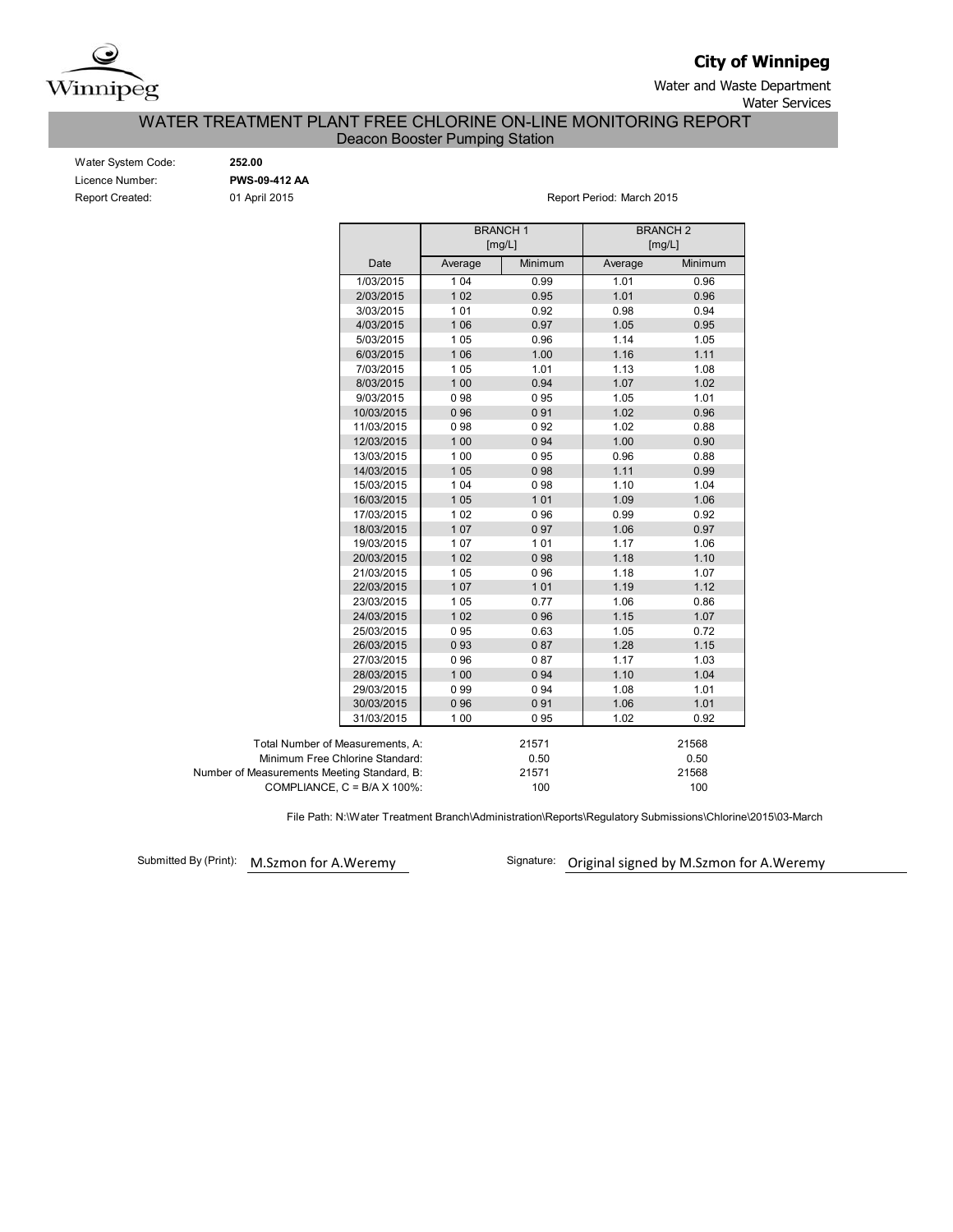

**City of Winnipeg**

Water and Waste Department

Water Services

# WATER TREATMENT PLANT FREE CHLORINE ON-LINE MONITORING REPORT

Deacon Booster Pumping Station

| Water System Code:     |
|------------------------|
| Licence Number:        |
| <b>Report Created:</b> |

Water System Code: **252.00** Licence Number: **PWS-09-412 AA**

01 April 2015 **Report Period: March 2015** 

|                                             |         | <b>BRANCH1</b><br>[mg/L] |         | <b>BRANCH2</b><br>[mg/L] |  |  |  |
|---------------------------------------------|---------|--------------------------|---------|--------------------------|--|--|--|
| Date                                        | Average | Minimum                  | Average | Minimum                  |  |  |  |
| 1/03/2015                                   | 1 0 4   | 0.99                     | 1.01    | 0.96                     |  |  |  |
| 2/03/2015                                   | 102     | 0.95                     | 1.01    | 0.96                     |  |  |  |
| 3/03/2015                                   | 101     | 0.92                     | 0.98    | 0.94                     |  |  |  |
| 4/03/2015                                   | 106     | 0.97                     | 1.05    | 0.95                     |  |  |  |
| 5/03/2015                                   | 105     | 0.96                     | 1.14    | 1.05                     |  |  |  |
| 6/03/2015                                   | 106     | 1.00                     | 1.16    | 1.11                     |  |  |  |
| 7/03/2015                                   | 105     | 1.01                     | 1.13    | 1.08                     |  |  |  |
| 8/03/2015                                   | 1 0 0   | 0.94                     | 1.07    | 1.02                     |  |  |  |
| 9/03/2015                                   | 098     | 095                      | 1.05    | 1.01                     |  |  |  |
| 10/03/2015                                  | 096     | 091                      | 1.02    | 0.96                     |  |  |  |
| 11/03/2015                                  | 098     | 092                      | 1.02    | 0.88                     |  |  |  |
| 12/03/2015                                  | 1 0 0   | 094                      | 1.00    | 0.90                     |  |  |  |
| 13/03/2015                                  | 100     | 095                      | 0.96    | 0.88                     |  |  |  |
| 14/03/2015                                  | 105     | 098                      | 1.11    | 0.99                     |  |  |  |
| 15/03/2015                                  | 104     | 098                      | 1.10    | 1.04                     |  |  |  |
| 16/03/2015                                  | 105     | 101                      | 1.09    | 1.06                     |  |  |  |
| 17/03/2015                                  | 102     | 096                      | 0.99    | 0.92                     |  |  |  |
| 18/03/2015                                  | 107     | 097                      | 1.06    | 0.97                     |  |  |  |
| 19/03/2015                                  | 107     | 101                      | 1.17    | 1.06                     |  |  |  |
| 20/03/2015                                  | 102     | 098                      | 1.18    | 1.10                     |  |  |  |
| 21/03/2015                                  | 105     | 096                      | 1.18    | 1.07                     |  |  |  |
| 22/03/2015                                  | 107     | 101                      | 1.19    | 1.12                     |  |  |  |
| 23/03/2015                                  | 105     | 0.77                     | 1.06    | 0.86                     |  |  |  |
| 24/03/2015                                  | 1 0 2   | 096                      | 1.15    | 1.07                     |  |  |  |
| 25/03/2015                                  | 095     | 0.63                     | 1.05    | 0.72                     |  |  |  |
| 26/03/2015                                  | 093     | 087                      | 1.28    | 1.15                     |  |  |  |
| 27/03/2015                                  | 096     | 087                      | 1.17    | 1.03                     |  |  |  |
| 28/03/2015                                  | 100     | 094                      | 1.10    | 1.04                     |  |  |  |
| 29/03/2015                                  | 099     | 094                      | 1.08    | 1.01                     |  |  |  |
| 30/03/2015                                  | 096     | 091                      | 1.06    | 1.01                     |  |  |  |
| 31/03/2015                                  | 100     | 095                      | 1.02    | 0.92                     |  |  |  |
| Total Number of Measurements, A:            |         | 21571                    |         | 21568                    |  |  |  |
| Minimum Free Chlorine Standard:             |         | 0.50                     | 0.50    |                          |  |  |  |
| Number of Measurements Meeting Standard, B: |         | 21571                    | 21568   |                          |  |  |  |
| COMPLIANCE, $C = B/A \times 100\%$ :        |         | 100                      |         | 100                      |  |  |  |

File Path: N:\Water Treatment Branch\Administration\Reports\Regulatory Submissions\Chlorine\2015\03-March

Submitted By (Print): M.Szmon for A.Weremy

Signature: Original signed by M.Szmon for A.Weremy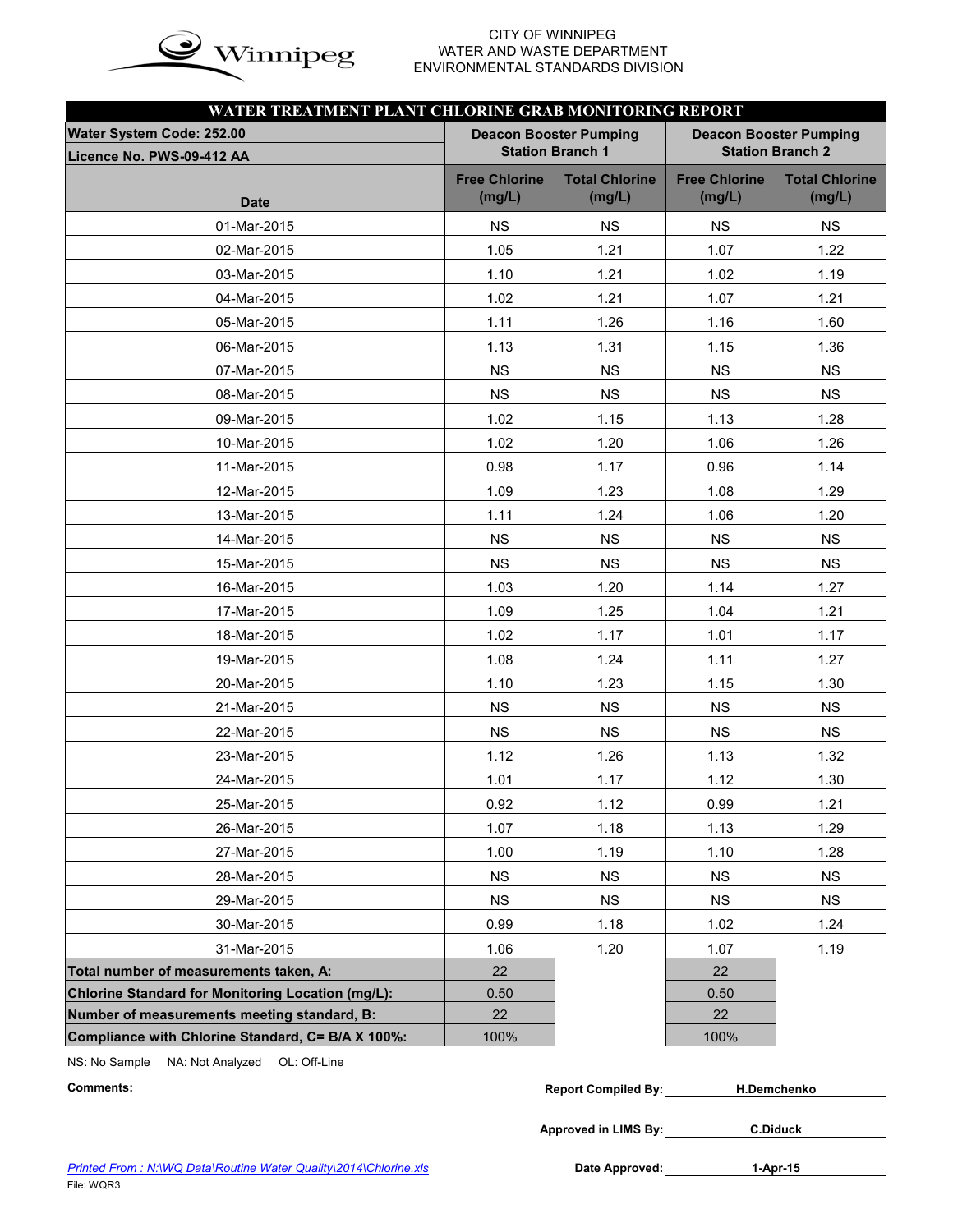

# WATER AND WASTE DEPARTMENT ENVIRONMENTAL STANDARDS DIVISION

| WATER TREATMENT PLANT CHLORINE GRAB MONITORING REPORT |                                |                                 |                                                          |                                 |  |  |  |  |  |  |
|-------------------------------------------------------|--------------------------------|---------------------------------|----------------------------------------------------------|---------------------------------|--|--|--|--|--|--|
| Water System Code: 252.00                             |                                | <b>Deacon Booster Pumping</b>   | <b>Deacon Booster Pumping</b><br><b>Station Branch 2</b> |                                 |  |  |  |  |  |  |
| Licence No. PWS-09-412 AA                             | <b>Station Branch 1</b>        |                                 |                                                          |                                 |  |  |  |  |  |  |
| <b>Date</b>                                           | <b>Free Chlorine</b><br>(mg/L) | <b>Total Chlorine</b><br>(mg/L) | <b>Free Chlorine</b><br>(mg/L)                           | <b>Total Chlorine</b><br>(mg/L) |  |  |  |  |  |  |
| 01-Mar-2015                                           | <b>NS</b>                      | <b>NS</b>                       | <b>NS</b>                                                | <b>NS</b>                       |  |  |  |  |  |  |
| 02-Mar-2015                                           | 1.05                           | 1.21                            | 1.07                                                     | 1.22                            |  |  |  |  |  |  |
| 03-Mar-2015                                           | 1.10                           | 1.21                            | 1.02                                                     | 1.19                            |  |  |  |  |  |  |
| 04-Mar-2015                                           | 1.02                           | 1.21                            | 1.07                                                     | 1.21                            |  |  |  |  |  |  |
| 05-Mar-2015                                           | 1.11                           | 1.26                            | 1.16                                                     | 1.60                            |  |  |  |  |  |  |
| 06-Mar-2015                                           | 1.13                           | 1.31                            | 1.15                                                     | 1.36                            |  |  |  |  |  |  |
| 07-Mar-2015                                           | <b>NS</b>                      | <b>NS</b>                       | <b>NS</b>                                                | <b>NS</b>                       |  |  |  |  |  |  |
| 08-Mar-2015                                           | <b>NS</b>                      | <b>NS</b>                       | <b>NS</b>                                                | <b>NS</b>                       |  |  |  |  |  |  |
| 09-Mar-2015                                           | 1.02                           | 1.15                            | 1.13                                                     | 1.28                            |  |  |  |  |  |  |
| 10-Mar-2015                                           | 1.02                           | 1.20                            | 1.06                                                     | 1.26                            |  |  |  |  |  |  |
| 11-Mar-2015                                           | 0.98                           | 1.17                            | 0.96                                                     | 1.14                            |  |  |  |  |  |  |
| 12-Mar-2015                                           | 1.09                           | 1.23                            | 1.08                                                     | 1.29                            |  |  |  |  |  |  |
| 13-Mar-2015                                           | 1.11                           | 1.24                            | 1.06                                                     | 1.20                            |  |  |  |  |  |  |
| 14-Mar-2015                                           | <b>NS</b>                      | <b>NS</b>                       | <b>NS</b>                                                | <b>NS</b>                       |  |  |  |  |  |  |
| 15-Mar-2015                                           | <b>NS</b>                      | <b>NS</b>                       | <b>NS</b>                                                | <b>NS</b>                       |  |  |  |  |  |  |
| 16-Mar-2015                                           | 1.03                           | 1.20                            | 1.14                                                     | 1.27                            |  |  |  |  |  |  |
| 17-Mar-2015                                           | 1.09                           | 1.25                            | 1.04                                                     | 1.21                            |  |  |  |  |  |  |
| 18-Mar-2015                                           | 1.02                           | 1.17                            | 1.01                                                     | 1.17                            |  |  |  |  |  |  |
| 19-Mar-2015                                           | 1.08                           | 1.24                            | 1.11                                                     | 1.27                            |  |  |  |  |  |  |
| 20-Mar-2015                                           | 1.10                           | 1.23                            | 1.15                                                     | 1.30                            |  |  |  |  |  |  |
| 21-Mar-2015                                           | <b>NS</b>                      | <b>NS</b>                       | <b>NS</b>                                                | <b>NS</b>                       |  |  |  |  |  |  |
| 22-Mar-2015                                           | <b>NS</b>                      | <b>NS</b>                       | <b>NS</b>                                                | <b>NS</b>                       |  |  |  |  |  |  |
| 23-Mar-2015                                           | 1.12                           | 1.26                            | 1.13                                                     | 1.32                            |  |  |  |  |  |  |
| 24-Mar-2015                                           | 1.01                           | 1.17                            | 1.12                                                     | 1.30                            |  |  |  |  |  |  |
| 25-Mar-2015                                           | 0.92                           | 1.12                            | 0.99                                                     | 1.21                            |  |  |  |  |  |  |
| 26-Mar-2015                                           | 1.07                           | 1.18                            | 1.13                                                     | 1.29                            |  |  |  |  |  |  |
| 27-Mar-2015                                           | 1.00                           | 1.19                            | 1.10                                                     | 1.28                            |  |  |  |  |  |  |
| 28-Mar-2015                                           | <b>NS</b>                      | <b>NS</b>                       | <b>NS</b>                                                | <b>NS</b>                       |  |  |  |  |  |  |
| 29-Mar-2015                                           | <b>NS</b>                      | <b>NS</b>                       | <b>NS</b>                                                | <b>NS</b>                       |  |  |  |  |  |  |
| 30-Mar-2015                                           | 0.99                           | 1.18                            | 1.02                                                     | 1.24                            |  |  |  |  |  |  |
| 31-Mar-2015                                           | 1.06                           | 1.20                            | 1.07                                                     | 1.19                            |  |  |  |  |  |  |
| Total number of measurements taken, A:                | 22                             |                                 | 22                                                       |                                 |  |  |  |  |  |  |
| Chlorine Standard for Monitoring Location (mg/L):     | 0.50                           |                                 | 0.50                                                     |                                 |  |  |  |  |  |  |
| Number of measurements meeting standard, B:           | 22                             |                                 | 22                                                       |                                 |  |  |  |  |  |  |
| Compliance with Chlorine Standard, C= B/A X 100%:     | 100%                           |                                 | 100%                                                     |                                 |  |  |  |  |  |  |

NS: No Sample NA: Not Analyzed OL: Off-Line

| Comments: | <b>Report Compiled By:</b> | H.Demchenko |
|-----------|----------------------------|-------------|
|           |                            |             |

**Approved in LIMS By: C.Diduck**

Date Approved: 1-Apr-15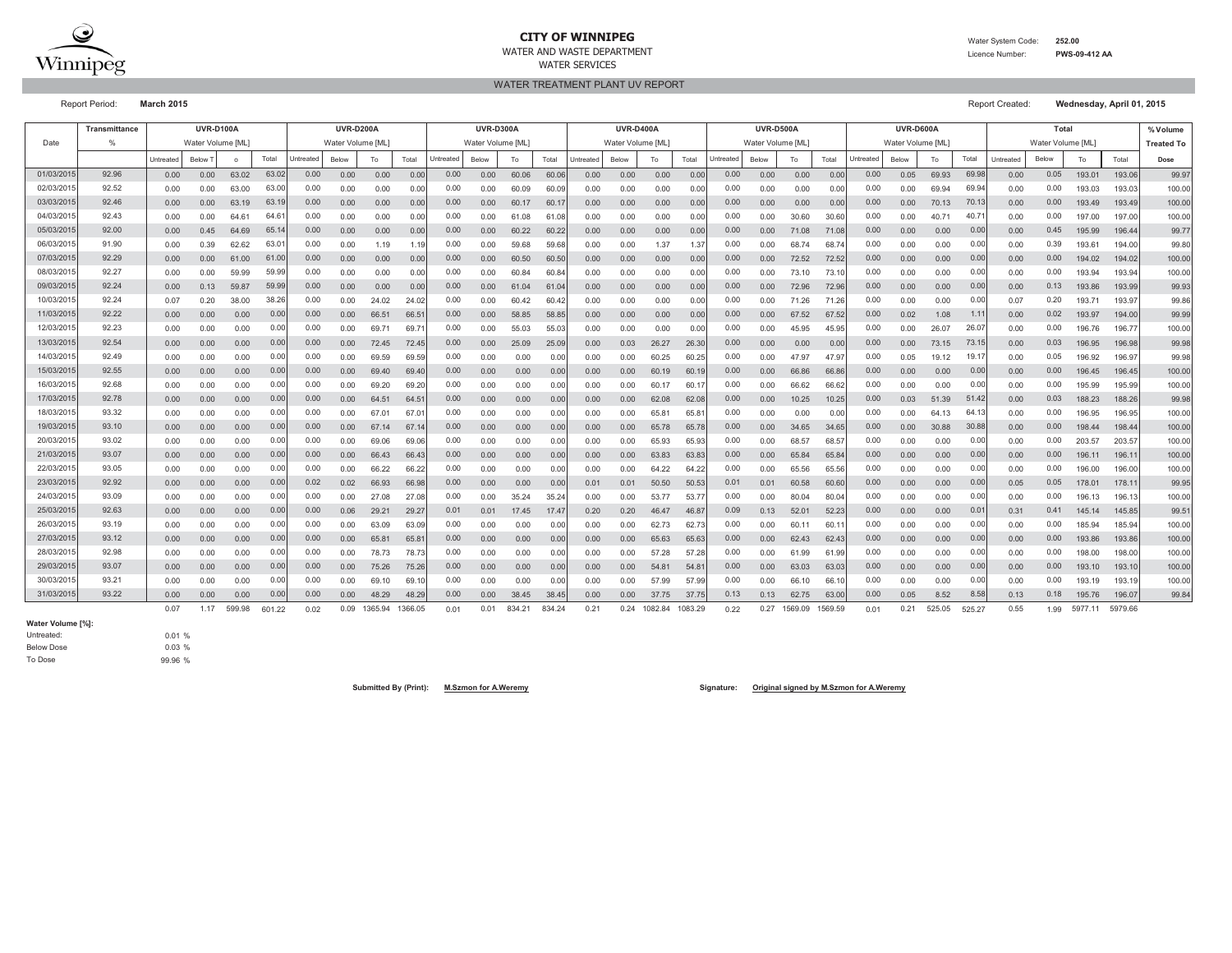

#### **CITY OF WINNIPEG**WATER AND WASTE DEPARTMENT

WATER SERVICES

 Water System Code: **252.00** Licence Number:**PWS-09-412 AA**

WATER TREATMENT PLANT UV REPORT

Report Period: **March 2015** Report Created: **Wednesday, April 01, 2015**

|           | <b>Transmittance</b> |           | <b>UVR-D100A</b> |         |        |           | <b>UVR-D200A</b> |         |         |           | <b>UVR-D300A</b>  |        |        |           | <b>UVR-D400A</b>  |         |         |           | <b>UVR-D500A</b> |         |         |           | <b>UVR-D600A</b> |        |        |           | Total             |         |         | % Volume          |
|-----------|----------------------|-----------|------------------|---------|--------|-----------|------------------|---------|---------|-----------|-------------------|--------|--------|-----------|-------------------|---------|---------|-----------|------------------|---------|---------|-----------|------------------|--------|--------|-----------|-------------------|---------|---------|-------------------|
| Date      | $\frac{0}{n}$        |           | Water Volume IML |         |        |           | Water Volume IML |         |         |           | Water Volume [ML] |        |        |           | Water Volume [ML] |         |         |           | Water Volume IML |         |         |           | Water Volume IML |        |        |           | Water Volume [ML] |         |         | <b>Treated To</b> |
|           |                      | Untreated | Below 7          | $\circ$ | Total  | Untreated | Below            | To      | Total   | Untreated | Below             | To     | Total  | Untreated | Below             | To      | Total   | Untreated | Below            | To      | Total   | Untreated | Below            | To     | Total  | Untreated | Below             | To      | Total   | Dose              |
| 01/03/201 | 92.96                | 0.00      | 0.00             | 63.02   | 63.02  | 0.00      | 0.00             | 0.00    | 0.00    | 0.00      | 0.00              | 60.06  | 60.06  | 0.00      | 0.00              | 0.00    | 0.00    | 0.00      | 0.00             | 0.00    | 0.00    | 0.00      | 0.05             | 69.93  | 69.98  | 0.00      | 0.05              | 193.01  | 193.06  | 99.97             |
| 02/03/201 | 92.52                | 0.00      | 0.00             | 63.00   | 63.00  | 0.00      | 0.00             | 0.00    | 0.00    | 0.00      | 0.00              | 60.09  | 60.09  | 0.00      | 0.00              | 0.00    | 0.00    | 0.00      | 0.00             | 0.00    | 0.00    | 0.00      | 0.00             | 69.94  | 69.94  | 0.00      | 0.00              | 193.03  | 193.03  | 100.00            |
| 03/03/201 | 92.46                | 0.00      | 0.00             | 63.19   | 63.1   | 0.00      | 0.00             | 0.00    | 0.00    | 0.00      | 0.00              | 60.17  | 60.1   | 0.00      | 0.00              | 0.00    | 0.00    | 0.00      | 0.00             | 0.00    | 0.00    | 0.00      | 0.00             | 70.13  | 70.13  | 0.00      | 0.00              | 193.49  | 193.49  | 100.00            |
| 04/03/201 | 92.43                | 0.00      | 0.00             | 64.6    | 64.6   | 0.00      | 0.00             | 0.00    | 0.00    | 0.00      | 0.00              | 61.08  | 61.08  | 0.00      | 0.00              | 0.00    | 0.00    | 0.00      | 0.00             | 30.60   | 30.60   | 0.00      | 0.00             | 40.71  | 40.7   | 0.00      | 0.00              | 197.00  | 197.00  | 100.00            |
| 05/03/201 | 92.00                | 0.00      | 0.45             | 64.69   | 65.1   | 0.00      | 0.00             | 0.00    | 0.00    | 0.00      | 0.00              | 60.22  | 60.22  | 0.00      | 0.00              | 0.00    | 0.00    | 0.00      | 0.00             | 71.08   | 71.08   | 0.00      | 0.00             | 0.00   | 0.00   | 0.00      | 0.45              | 195.99  | 196.44  | 99.77             |
| 06/03/201 | 91.90                | 0.00      | 0.39             | 62.62   | 63.0   | 0.00      | 0.00             | 1.19    | 1.19    | 0.00      | 0.00              | 59.68  | 59.68  | 0.00      | 0.00              | 1.37    | 1.3     | 0.00      | 0.00             | 68.74   | 68.7    | 0.00      | 0.00             | 0.00   | 0.00   | 0.00      | 0.39              | 193.61  | 194.00  | 99.80             |
| 07/03/201 | 92.29                | 0.00      | 0.00             | 61.00   | 61.0   | 0.00      | 0.00             | 0.00    | 0.00    | 0.00      | 0.00              | 60.50  | 60.50  | 0.00      | 0.00              | 0.00    | 0.00    | 0.00      | 0.00             | 72.52   | 72.52   | 0.00      | 0.00             | 0.00   | 0.00   | 0.00      | 0.00              | 194.02  | 194.02  | 100.00            |
| 08/03/201 | 92.27                | 0.00      | 0.00             | 59.99   | 59.99  | 0.00      | 0.00             | 0.00    | 0.00    | 0.00      | 0.00              | 60.84  | 60.84  | 0.00      | 0.00              | 0.00    | 0.00    | 0.00      | 0.00             | 73.10   | 73.1    | 0.00      | 0.00             | 0.00   | 0.00   | 0.00      | 0.00              | 193.94  | 193.94  | 100.00            |
| 09/03/201 | 92.24                | 0.00      | 0.13             | 59.87   | 59.9   | 0.00      | 0.00             | 0.00    | 0.00    | 0.00      | 0.00              | 61.04  | 61.0   | 0.00      | 0.00              | 0.00    | 0.00    | 0.00      | 0.00             | 72.96   | 72.96   | 0.00      | 0.00             | 0.00   | 0.00   | 0.00      | 0.13              | 193.86  | 193.99  | 99.93             |
| 10/03/201 | 92.24                | 0.07      | 0.20             | 38.00   | 38.26  | 0.00      | 0.00             | 24.02   | 24.02   | 0.00      | 0.00              | 60.42  | 60.4   | 0.00      | 0.00              | 0.00    | 0.00    | 0.00      | 0.00             | 71.26   | 71.26   | 0.00      | 0.00             | 0.00   | 0.00   | 0.07      | 0.20              | 193.7'  | 193.97  | 99.86             |
| 11/03/201 | 92.22                | 0.00      | 0.00             | 0.00    | 0.00   | 0.00      | 0.00             | 66.51   | 66.5    | 0.00      | 0.00              | 58.85  | 58.8   | 0.00      | 0.00              | 0.00    | 0.00    | 0.00      | 0.00             | 67.52   | 67.52   | 0.00      | 0.02             | 1.08   | 1.1'   | 0.00      | 0.02              | 193.97  | 194.00  | 99.99             |
| 12/03/201 | 92.23                | 0.00      | 0.00             | 0.00    | 0.00   | 0.00      | 0.00             | 69.71   | 69.7    | 0.00      | 0.00              | 55.03  | 55.0   | 0.00      | 0.00              | 0.00    | 0.00    | 0.00      | 0.00             | 45.95   | 45.95   | 0.00      | 0.00             | 26.07  | 26.07  | 0.00      | 0.00              | 196.76  | 196.77  | 100.00            |
| 13/03/201 | 92.54                | 0.00      | 0.00             | 0.00    | 0.00   | 0.00      | 0.00             | 72.45   | 72.45   | 0.00      | 0.00              | 25.09  | 25.09  | 0.00      | 0.03              | 26.27   | 26.30   | 0.00      | 0.00             | 0.00    | 0.00    | 0.00      | 0.00             | 73.15  | 73.15  | 0.00      | 0.03              | 196.95  | 196.98  | 99.98             |
| 14/03/201 | 92.49                | 0.00      | 0.00             | 0.00    | 0.00   | 0.00      | 0.00             | 69.59   | 69.5    | 0.00      | 0.00              | 0.00   | 0.0    | 0.00      | 0.00              | 60.25   | 60.2    | 0.00      | 0.00             | 47.97   | 47.9    | 0.00      | 0.05             | 19.12  | 19.1   | 0.00      | 0.05              | 196.92  | 196.97  | 99.98             |
| 15/03/201 | 92.55                | 0.00      | 0.00             | 0.00    | 0.00   | 0.00      | 0.00             | 69.40   | 69.4    | 0.00      | 0.00              | 0.00   | 0.00   | 0.00      | 0.00              | 60.19   | 60.1    | 0.00      | 0.00             | 66.86   | 66.8    | 0.00      | 0.00             | 0.00   | 0.00   | 0.00      | 0.00              | 196.45  | 196.45  | 100.00            |
| 16/03/201 | 92.68                | 0.00      | 0.00             | 0.00    | 0.0    | 0.00      | 0.00             | 69.20   | 69.2    | 0.00      | 0.00              | 0.00   | 0.00   | 0.00      | 0.00              | 60.17   | 60.1    | 0.00      | 0.00             | 66.62   | 66.62   | 0.00      | 0.00             | 0.00   | 0.00   | 0.00      | 0.00              | 195.99  | 195.99  | 100.00            |
| 17/03/201 | 92.78                | 0.00      | 0.00             | 0.00    | 0.00   | 0.00      | 0.00             | 64.51   | 64.5    | 0.00      | 0.00              | 0.00   | 0.00   | 0.00      | 0.00              | 62.08   | 62.08   | 0.00      | 0.00             | 10.25   | 10.25   | 0.00      | 0.03             | 51.39  | 51.42  | 0.00      | 0.03              | 188.23  | 188.26  | 99.98             |
| 18/03/201 | 93.32                | 0.00      | 0.00             | 0.00    | 0.00   | 0.00      | 0.00             | 67.01   | 67.0    | 0.00      | 0.00              | 0.00   | 0.00   | 0.00      | 0.00              | 65.81   | 65.8    | 0.00      | 0.00             | 0.00    | 0.00    | 0.00      | 0.00             | 64.13  | 64.13  | 0.00      | 0.00              | 196.95  | 196.95  | 100.00            |
| 19/03/201 | 93.10                | 0.00      | 0.00             | 0.00    | 0.00   | 0.00      | 0.00             | 67.14   | 67.1    | 0.00      | 0.00              | 0.00   | 0.00   | 0.00      | 0.00              | 65.78   | 65.7    | 0.00      | 0.00             | 34.65   | 34.65   | 0.00      | 0.00             | 30.88  | 30.88  | 0.00      | 0.00              | 198.44  | 198.44  | 100.00            |
| 20/03/201 | 93.02                | 0.00      | 0.00             | 0.00    | 0.00   | 0.00      | 0.00             | 69.06   | 69.06   | 0.00      | 0.00              | 0.00   | 0.00   | 0.00      | 0.00              | 65.93   | 65.93   | 0.00      | 0.00             | 68.57   | 68.5    | 0.00      | 0.00             | 0.00   | 0.00   | 0.00      | 0.00              | 203.57  | 203.57  | 100.00            |
| 21/03/201 | 93.07                | 0.00      | 0.00             | 0.00    | 0.00   | 0.00      | 0.00             | 66.43   | 66.4    | 0.00      | 0.00              | 0.00   | 0.00   | 0.00      | 0.00              | 63.83   | 63.8    | 0.00      | 0.00             | 65.84   | 65.84   | 0.00      | 0.00             | 0.00   | 0.00   | 0.00      | 0.00              | 196.11  | 196.1   | 100.00            |
| 22/03/201 | 93.05                | 0.00      | 0.00             | 0.00    | 0.00   | 0.00      | 0.00             | 66.22   | 66.22   | 0.00      | 0.00              | 0.00   | 0.00   | 0.00      | 0.00              | 64.22   | 64.22   | 0.00      | 0.00             | 65.56   | 65.56   | 0.00      | 0.00             | 0.00   | 0.00   | 0.00      | 0.00              | 196.00  | 196.00  | 100.00            |
| 23/03/201 | 92.92                | 0.00      | 0.00             | 0.00    | 0.00   | 0.02      | 0.02             | 66.93   | 66.9    | 0.00      | 0.00              | 0.00   | 0.00   | 0.01      | 0.01              | 50.50   | 50.5    | 0.01      | 0.01             | 60.58   | 60.60   | 0.00      | 0.00             | 0.00   | 0.00   | 0.05      | 0.05              | 178.01  | 178.1   | 99.95             |
| 24/03/201 | 93.09                | 0.00      | 0.00             | 0.00    | 0.00   | 0.00      | 0.00             | 27.08   | 27.0    | 0.00      | 0.00              | 35.24  | 35.2   | 0.00      | 0.00              | 53.77   | 53.7    | 0.00      | 0.00             | 80.04   | 80.0    | 0.00      | 0.00             | 0.00   | 0.00   | 0.00      | 0.00              | 196.13  | 196.1   | 100.00            |
| 25/03/201 | 92.63                | 0.00      | 0.00             | 0.00    | 0.00   | 0.00      | 0.06             | 29.21   | 29.2    | 0.01      | 0.01              | 17.45  | 17.4   | 0.20      | 0.20              | 46.47   | 46.8    | 0.09      | 0.13             | 52.01   | 52.2    | 0.00      | 0.00             | 0.00   | 0.0    | 0.31      | 0.41              | 145.14  | 145.85  | 99.51             |
| 26/03/201 | 93.19                | 0.00      | 0.00             | 0.00    | 0.00   | 0.00      | 0.00             | 63.09   | 63.0    | 0.00      | 0.00              | 0.00   | 0.0    | 0.00      | 0.00              | 62.73   | 62.7    | 0.00      | 0.00             | 60.11   | 60.1    | 0.00      | 0.00             | 0.00   | 0.00   | 0.00      | 0.00              | 185.94  | 185.94  | 100.00            |
| 27/03/201 | 93.12                | 0.00      | 0.00             | 0.00    | 0.00   | 0.00      | 0.00             | 65.81   | 65.8    | 0.00      | 0.00              | 0.00   | 0.00   | 0.00      | 0.00              | 65.63   | 65.63   | 0.00      | 0.00             | 62.43   | 62.43   | 0.00      | 0.00             | 0.00   | 0.00   | 0.00      | 0.00              | 193.86  | 193.86  | 100.00            |
| 28/03/201 | 92.98                | 0.00      | 0.00             | 0.00    | 0.00   | 0.00      | 0.00             | 78.73   | 78.7    | 0.00      | 0.00              | 0.00   | 0.00   | 0.00      | 0.00              | 57.28   | 57.2    | 0.00      | 0.00             | 61.99   | 61.99   | 0.00      | 0.00             | 0.00   | 0.00   | 0.00      | 0.00              | 198.00  | 198.00  | 100.00            |
| 29/03/201 | 93.07                | 0.00      | 0.00             | 0.00    | 0.00   | 0.00      | 0.00             | 75.26   | 75.26   | 0.00      | 0.00              | 0.00   | 0.00   | 0.00      | 0.00              | 54.81   | 54.8    | 0.00      | 0.00             | 63.03   | 63.0    | 0.00      | 0.00             | 0.00   | 0.00   | 0.00      | 0.00              | 193.10  | 193.10  | 100.00            |
| 30/03/201 | 93.21                | 0.00      | 0.00             | 0.00    | 0.00   | 0.00      | 0.00             | 69.10   | 69.1    | 0.00      | 0.00              | 0.00   | 0.00   | 0.00      | 0.00              | 57.99   | 57.99   | 0.00      | 0.00             | 66.10   | 66.1    | 0.00      | 0.00             | 0.00   | 0.00   | 0.00      | 0.00              | 193.19  | 193.19  | 100.00            |
| 31/03/201 | 93.22                | 0.00      | 0.00             | 0.00    | 0.00   | 0.00      | 0.00             | 48.29   | 48.2    | 0.00      | 0.00              | 38.45  | 38.45  | 0.00      | 0.00              | 37.75   | 37.75   | 0.13      | 0.13             | 62.75   | 63.0    | 0.00      | 0.05             | 8.52   | 8.58   | 0.13      | 0.18              | 195.76  | 196.07  | 99.84             |
|           |                      | 0.07      | 1.17             | 599.98  | 601.22 | 0.02      | 0.09             | 1365.94 | 1366.05 | 0.01      | 0.01              | 834.21 | 834.24 | 0.21      | 0.24              | 1082.84 | 1083.29 | 0.22      | 0.27             | 1569.09 | 1569.59 | 0.01      | 0.21             | 525.05 | 525.27 | 0.55      | 1.99              | 5977.11 | 5979.66 |                   |

**Water Volume [%]:**

Untreated: To Dose Below Dose

0.01 % 0.03 % 99.96 %

**Submitted By (Print): M.Szmon for A.Weremy Signature: Original signed by M.Szmon for A.Weremy**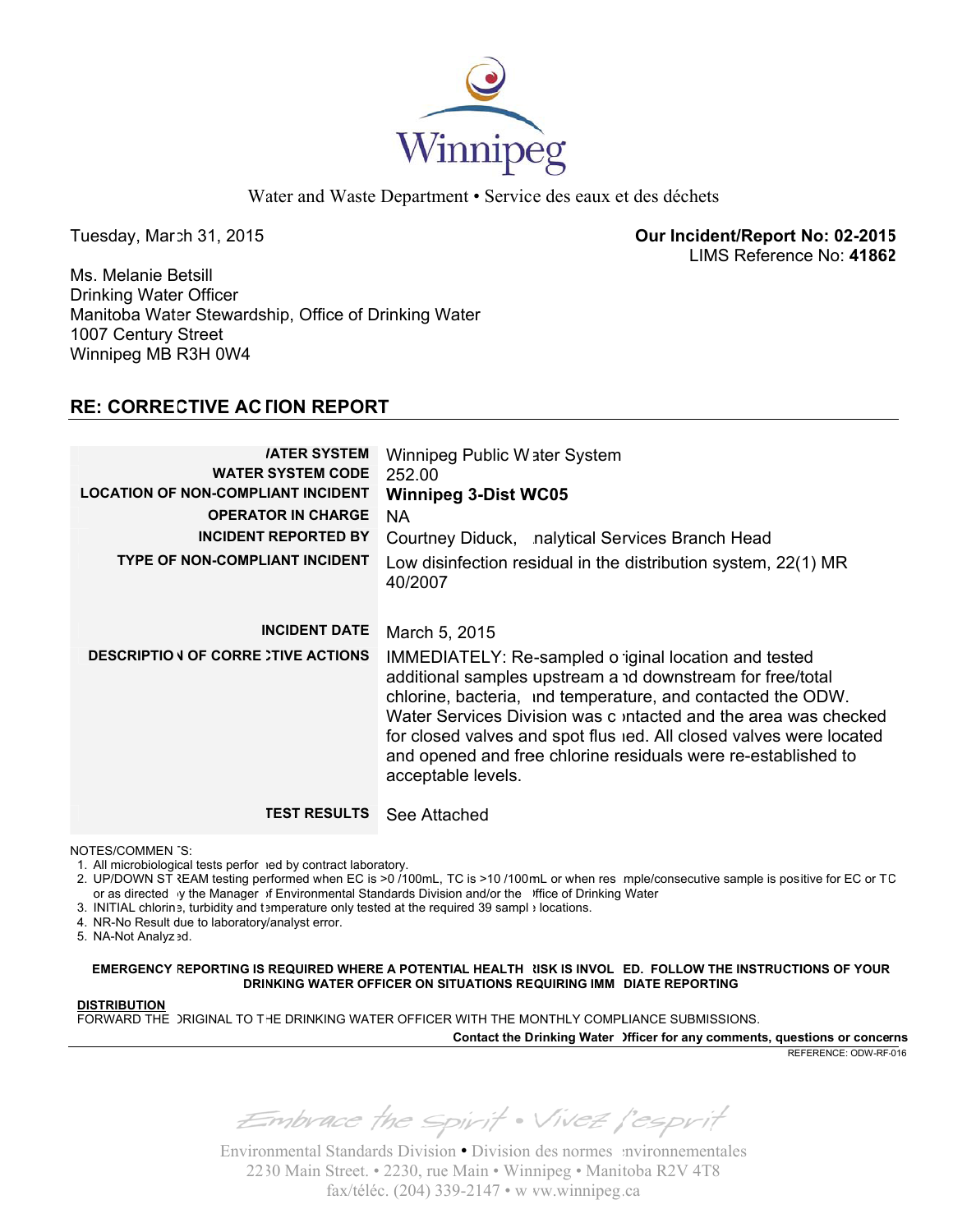

Water and Waste Department • Service des eaux et des déchets

Tu esday, Mar ch 31, 2015

**Our Incide ent/Report No: 02-201 5** LIMS Reference No: 41862

Ms. Melanie Betsill Dr inking Wate r Officer Manitoba Water Stewardship, Office of Drinking Water 10 07 Century Street Wi nnipeg MB R3H 0W4

# **RE: CORRECTIVE AC ΓΙΟΝ REPORT**

| <b>IATER SYSTEM</b><br><b>WATER SYSTEM CODE</b><br><b>LOCATION OF NON-COMPLIANT INCIDENT</b><br><b>OPERATOR IN CHARGE</b><br><b>INCIDENT REPORTED BY</b><br><b>TYPE OF NON-COMPLIANT INCIDENT</b> | Winnipeg Public Water System<br>252.00<br><b>Winnipeg 3-Dist WC05</b><br>NA.<br>Courtney Diduck, nalytical Services Branch Head<br>Low disinfection residual in the distribution system, 22(1) MR<br>40/2007                                                                                                                                                                                                       |
|---------------------------------------------------------------------------------------------------------------------------------------------------------------------------------------------------|--------------------------------------------------------------------------------------------------------------------------------------------------------------------------------------------------------------------------------------------------------------------------------------------------------------------------------------------------------------------------------------------------------------------|
| <b>INCIDENT DATE</b>                                                                                                                                                                              | March 5, 2015                                                                                                                                                                                                                                                                                                                                                                                                      |
| <b>DESCRIPTIO J OF CORRE TIVE ACTIONS</b>                                                                                                                                                         | IMMEDIATELY: Re-sampled o iginal location and tested<br>additional samples upstream a 1d downstream for free/total<br>chlorine, bacteria, ind temperature, and contacted the ODW.<br>Water Services Division was c intacted and the area was checked<br>for closed valves and spot flus red. All closed valves were located<br>and opened and free chlorine residuals were re-established to<br>acceptable levels. |
| <b>TEST RESULTS</b>                                                                                                                                                                               | See Attached                                                                                                                                                                                                                                                                                                                                                                                                       |

NO TES/COMMEN TS:

1. All microbiologi cal tests perfor med by contract la aboratory.

2. UP/DOWN ST रEAM testing performed when EC is >0 /100mL, TC is >10 /100mL or when res mple/consecutive sample is positive for EC or TC or as directed y the Manager of Environmental Standards Division and/or the office of Drinking Water

- 3. INITIAL chlorin e, turbidity and t emperature only tested at the req quired 39 sampl e locations.
- 4. NR-No Result due to laboratory/analyst error.

5. NA-Not Analyz ed.

**EMERGENCY REPORTING IS REQUIRED WHERE A POTENTIAL HEALTH NSK IS INVOL ED. FOLLOW THE INSTRUCTIONS OF YOUR DRI NKING WATER OFFICER ON S SITUATIONS RE QUIRING IMM EDIATE REPORT TING**

## **DI STRIBUTION**

FORWARD THE )RIGINAL TO THE DRINKING WATER OFFICER WITH THE MONTHLY COMPLIANCE SUBMISSIONS.

**Contact the D rinking Water Officer for any c comments, ques stions or conce rns**

RE FERENCE: ODW-RF -016

Embrace the spirit . Vivez l'esprit

Environmental Standards Division · Division des normes nuironnementales 2230 Main Street. • 2230, rue Main • Winnipeg • Manitoba R2V 4T8 fax/téléc. (204) 339-2147 • w vw.winnipeg.ca